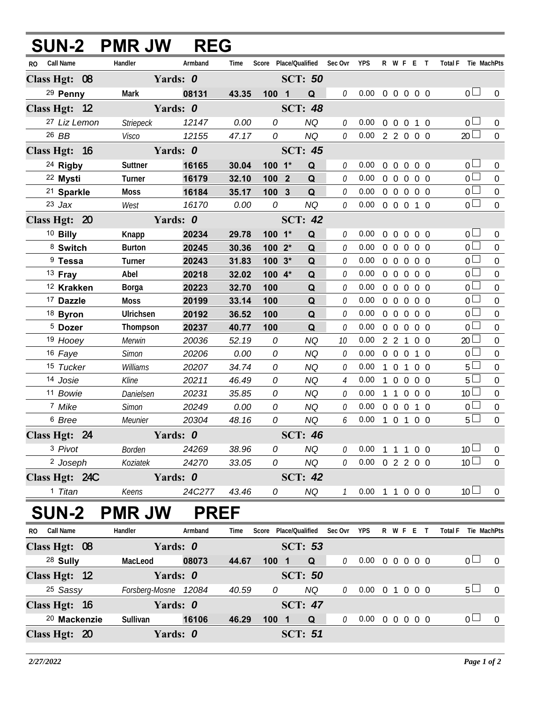|                           | SUN-2 PMR JW         | <b>REG</b>     |                |                       |                |                 |                                   |                                                           |                                |                  |                |                     |                         |                                  |
|---------------------------|----------------------|----------------|----------------|-----------------------|----------------|-----------------|-----------------------------------|-----------------------------------------------------------|--------------------------------|------------------|----------------|---------------------|-------------------------|----------------------------------|
| Call Name<br>RO           | Handler              | Armband        | Time           | Score Place/Qualified |                |                 | Sec Ovr                           | <b>YPS</b>                                                | R W F E T                      |                  |                | Total F Tie MachPts |                         |                                  |
| Class Hgt: 08             | Yards: 0             |                |                |                       | <b>SCT: 50</b> |                 |                                   |                                                           |                                |                  |                |                     |                         |                                  |
| <sup>29</sup> Penny       | <b>Mark</b>          | 08131          | 43.35          | 100 1                 |                | Q               | 0                                 | 0.00                                                      | 0 0 0 0 0                      |                  |                |                     | 0 <sub>0</sub>          | $\overline{0}$                   |
| Class Hgt: 12             | Yards: 0             |                |                |                       | <b>SCT: 48</b> |                 |                                   |                                                           |                                |                  |                |                     |                         |                                  |
| 27 Liz Lemon              | <b>Striepeck</b>     | 12147          | 0.00           | 0                     |                | <b>NQ</b>       | 0                                 | 0.00                                                      | 0 0 0 1 0                      |                  |                |                     | 0 <sub>1</sub>          | $\overline{0}$                   |
| 26 BB                     | Visco                | 12155          | 47.17          | 0                     |                | <b>NQ</b>       | 0                                 | 0.00                                                      | 2 2 0 0 0                      |                  |                |                     | $20\Box$                | $\overline{0}$                   |
| Class Hgt: 16             | Yards: 0             |                |                |                       | <b>SCT: 45</b> |                 |                                   |                                                           |                                |                  |                |                     |                         |                                  |
| <sup>24</sup> Rigby       | Suttner              | 16165          | 30.04          | $100 - 1*$            |                | Q               | 0                                 | 0.00                                                      | 0 0 0 0 0                      |                  |                |                     | 0 <sub>1</sub>          | $\overline{0}$                   |
| <sup>22</sup> Mysti       | Turner               | 16179          | 32.10          | 100 <sub>2</sub>      |                | Q               | 0                                 | 0.00                                                      | 0 <sub>0</sub><br>$\mathbf 0$  |                  | $0\quad 0$     |                     | 0 <sub>0</sub>          | $\overline{0}$                   |
| 21 Sparkle                | Moss                 | 16184          | 35.17          | 100                   | $\mathbf{3}$   | $\mathbf Q$     | 0                                 | 0.00                                                      | 0 0 0 0 0                      |                  |                |                     | 0 <sub>1</sub>          | $\overline{0}$                   |
| $23$ Jax                  | West                 | 16170          | 0.00           | 0                     |                | <b>NQ</b>       | 0                                 | 0.00                                                      | 0 0 0 1 0                      |                  |                |                     | 0 <sub>0</sub>          | $\overline{0}$                   |
| Class Hgt: 20             | Yards: 0             |                |                |                       | <b>SCT: 42</b> |                 |                                   |                                                           |                                |                  |                |                     |                         |                                  |
| <sup>10</sup> Billy       | Knapp                | 20234          | 29.78          | $100 - 1*$            |                | Q               | 0                                 | 0.00                                                      | 00000                          |                  |                |                     | 0 <sup>1</sup>          | $\overline{0}$                   |
| 8 Switch                  | <b>Burton</b>        | 20245          | 30.36          | 100 2*                |                | Q               | 0                                 | 0.00                                                      | 0 <sub>0</sub>                 | $\boldsymbol{0}$ | $0\quad 0$     |                     | 0 <sub>0</sub>          | $\overline{0}$                   |
| <sup>9</sup> Tessa        | Turner               | 20243          | 31.83          | $100.3*$              |                | Q               | 0                                 | 0.00                                                      | 0 0 0 0 0                      |                  |                |                     | 0 <sub>0</sub>          | $\mathbf 0$                      |
| $13$ Fray                 | Abel                 | 20218          | 32.02          | 100 4*                |                | Q               | 0                                 | 0.00                                                      | $0\quad 0\quad 0$              |                  | 0 <sub>0</sub> |                     | 0 <sub>0</sub>          | $\overline{0}$                   |
| <sup>12</sup> Krakken     | <b>Borga</b>         | 20223          | 32.70          | 100                   |                | Q               | 0                                 | 0.00                                                      | $0\quad 0\quad 0$              |                  | 0 <sub>0</sub> |                     | 0 <sub>0</sub>          | $\overline{0}$                   |
| <sup>17</sup> Dazzle      | Moss                 | 20199          | 33.14          | 100                   |                | Q               | 0                                 | 0.00                                                      | 0 <sub>0</sub>                 | $\Omega$         | 0 <sub>0</sub> |                     | $0 -$                   | $\overline{0}$                   |
| 18 Byron                  | Ulrichsen            | 20192          | 36.52          | 100                   |                | Q               | 0                                 | 0.00                                                      | $0\quad 0\quad 0$              |                  | $0\quad 0$     |                     | 0 <sup>1</sup>          | $\Omega$                         |
| <sup>5</sup> Dozer        | Thompson             | 20237          | 40.77          | 100                   |                | Q               | 0                                 | 0.00                                                      | $0\quad 0\quad 0$              |                  | 0 <sub>0</sub> |                     | 0 <sub>0</sub>          | $\overline{0}$                   |
| 19 Hooey                  | Merwin               | 20036          | 52.19          | 0                     |                | <b>NQ</b>       | 10                                | 0.00                                                      | 2 2 1                          |                  | $0\quad 0$     |                     | 20 <sup>2</sup>         | $\overline{0}$                   |
| 16 Faye                   | Simon                | 20206          | 0.00           | 0                     |                | NQ              | 0                                 | 0.00                                                      | $0\quad 0\quad 0$              |                  | $1\quad0$      |                     | 0 <sub>0</sub>          | $\overline{0}$                   |
| 15 Tucker                 | Williams             | 20207          | 34.74          | 0                     |                | NQ              | 0                                 | 0.00                                                      | 1 0 1 0 0                      |                  |                |                     | $5+$                    | $\Omega$                         |
| 14 Josie                  | Kline                | 20211          | 46.49          | 0<br>0                |                | NQ<br><b>NQ</b> | $\overline{4}$<br>0               | 0.00<br>0.00                                              | 1 0 0 0 0                      |                  |                |                     | $5+$<br>10 <sup>1</sup> | $\overline{0}$                   |
| 11 Bowie<br>7 Mike        | Danielsen<br>Simon   | 20231<br>20249 | 35.85<br>0.00  | 0                     |                | <b>NQ</b>       | 0                                 | 0.00                                                      | 1 1 0 0 0<br>$0\quad 0\quad 0$ |                  | 1 0            |                     | 0 <sub>0</sub>          | $\overline{0}$<br>$\overline{0}$ |
| 6 Bree                    | Meunier              | 20304          | 48.16          | 0                     |                | NQ              | 6                                 | 0.00                                                      | 101                            |                  | $0\quad 0$     |                     | 5 <sub>1</sub>          | $\overline{0}$                   |
| Class Hgt: 24             | Yards: 0             |                |                |                       | <b>SCT: 46</b> |                 |                                   |                                                           |                                |                  |                |                     |                         |                                  |
| 3 Pivot                   |                      |                |                |                       |                |                 |                                   |                                                           |                                |                  |                |                     | 10 <sup>1</sup>         |                                  |
| <sup>2</sup> Joseph       | Borden<br>Koziatek   | 24269<br>24270 | 38.96<br>33.05 | 0<br>0                |                | NQ<br>NQ        | 0<br>$\theta$                     | $0.00 \t1 \t1 \t0 \t0$<br>$0.00 \t 0 \t 2 \t 2 \t 0 \t 0$ |                                |                  |                |                     | 10 <sup>L</sup>         | $\mathbf 0$<br>$\theta$          |
|                           |                      |                |                |                       |                |                 |                                   |                                                           |                                |                  |                |                     |                         |                                  |
| Class Hgt: 24C<br>1 Titan | Yards: 0<br>Keens    | 24C277         | 43.46          | 0                     | <b>SCT: 42</b> | NQ              | $\mathcal{I}$                     | $0.00 \t1 \t1 \t0 \t0 \t0$                                |                                |                  |                |                     | 10 <sup>1</sup>         | $\overline{0}$                   |
|                           |                      |                |                |                       |                |                 |                                   |                                                           |                                |                  |                |                     |                         |                                  |
| <b>SUN-2</b>              | <b>PMR JW</b>        |                | <b>PREF</b>    |                       |                |                 |                                   |                                                           |                                |                  |                |                     |                         |                                  |
| RO Call Name              | Handler              | Armband        | Time           |                       |                |                 | Score Place/Qualified Sec Ovr YPS |                                                           | R W F E T                      |                  |                | Total F Tie MachPts |                         |                                  |
| Class Hgt: 08             | Yards: 0             |                |                |                       | <b>SCT: 53</b> |                 |                                   |                                                           |                                |                  |                |                     |                         |                                  |
| <sup>28</sup> Sully       | MacLeod              | 08073          | 44.67          | $100$ 1               |                | Q               | 0                                 | 0.00 0 0 0 0 0                                            |                                |                  |                |                     | 0 <sub>l</sub>          | $\overline{0}$                   |
| Class Hgt: 12             | Yards: 0             |                |                |                       | <b>SCT: 50</b> |                 |                                   |                                                           |                                |                  |                |                     |                         |                                  |
| <sup>25</sup> Sassy       | Forsberg-Mosne 12084 |                | 40.59          | 0                     |                | NQ              | 0                                 | $0.00 \t0 1 0 0 0$                                        |                                |                  |                |                     | $5\perp$                | $\overline{0}$                   |
| Class Hgt: 16             | Yards: 0             |                |                |                       | <b>SCT: 47</b> |                 |                                   |                                                           |                                |                  |                |                     |                         |                                  |
| <sup>20</sup> Mackenzie   | Sullivan             | 16106          | 46.29          | 1001                  |                | Q               | 0                                 | $0.00 \t0 \t0 \t0 \t0 \t0$                                |                                |                  |                |                     | 0 <sub>l</sub>          | $\overline{0}$                   |
| Class Hgt: 20             | Yards: 0             |                |                |                       | <b>SCT: 51</b> |                 |                                   |                                                           |                                |                  |                |                     |                         |                                  |
|                           |                      |                |                |                       |                |                 |                                   |                                                           |                                |                  |                |                     |                         |                                  |